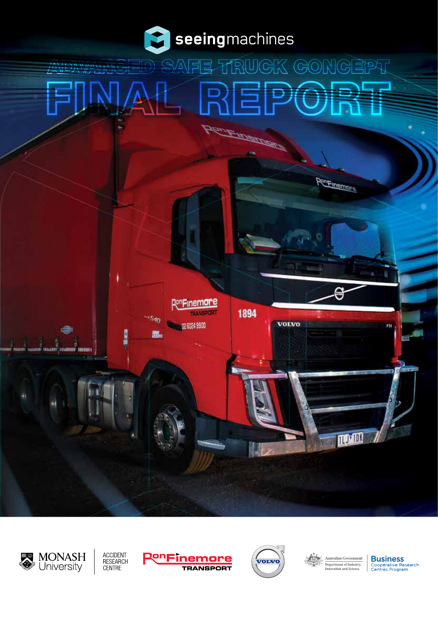

# $\ddot{\mathbf{q}}$ 即可 NG  $(A \cap$ D) JIGE **PRIVATION AND**













PenFinemore

**Business** Cooperative Research<br>Centres Program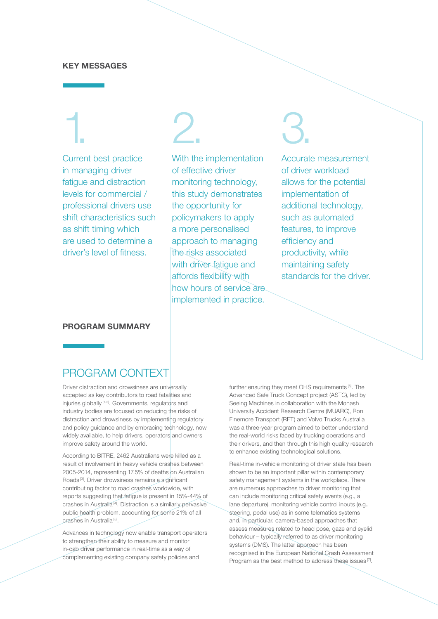#### **KEY MESSAGES**

# 1.

Current best practice in managing driver fatigue and distraction levels for commercial / professional drivers use shift characteristics such as shift timing which are used to determine a driver's level of fitness.

2.

With the implementation of effective driver monitoring technology, this study demonstrates the opportunity for policymakers to apply a more personalised approach to managing the risks associated with driver fatigue and affords flexibility with how hours of service are implemented in practice.

# 3.

Accurate measurement of driver workload allows for the potential implementation of additional technology, such as automated features, to improve efficiency and productivity, while maintaining safety standards for the driver.

#### **PROGRAM SUMMARY**

## PROGRAM CONTEXT

Driver distraction and drowsiness are universally accepted as key contributors to road fatalities and injuries globally [1-2]. Governments, regulators and industry bodies are focused on reducing the risks of distraction and drowsiness by implementing regulatory and policy guidance and by embracing technology, now widely available, to help drivers, operators and owners improve safety around the world.

According to BITRE, 2462 Australians were killed as a result of involvement in heavy vehicle crashes between 2005-2014, representing 17.5% of deaths on Australian Roads [3]. Driver drowsiness remains a significant contributing factor to road crashes worldwide, with reports suggesting that fatigue is present in 15%-44% of crashes in Australia [4]. Distraction is a similarly pervasive public health problem, accounting for some 21% of all crashes in Australia [5].

Advances in technology now enable transport operators to strengthen their ability to measure and monitor in-cab driver performance in real-time as a way of complementing existing company safety policies and

further ensuring they meet OHS requirements [6]. The Advanced Safe Truck Concept project (ASTC), led by Seeing Machines in collaboration with the Monash University Accident Research Centre (MUARC), Ron Finemore Transport (RFT) and Volvo Trucks Australia was a three-year program aimed to better understand the real-world risks faced by trucking operations and their drivers, and then through this high quality research to enhance existing technological solutions.

Real-time in-vehicle monitoring of driver state has been shown to be an important pillar within contemporary safety management systems in the workplace. There are numerous approaches to driver monitoring that can include monitoring critical safety events (e.g., a lane departure), monitoring vehicle control inputs (e.g., steering, pedal use) as in some telematics systems and, in particular, camera-based approaches that assess measures related to head pose, gaze and eyelid behaviour – typically referred to as driver monitoring systems (DMS). The latter approach has been recognised in the European National Crash Assessment Program as the best method to address these issues [7].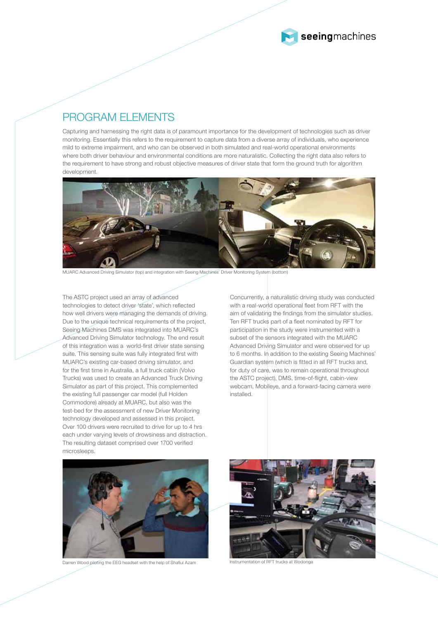

## PROGRAM FLEMENTS

Capturing and harnessing the right data is of paramount importance for the development of technologies such as driver monitoring. Essentially this refers to the requirement to capture data from a diverse array of individuals, who experience mild to extreme impairment, and who can be observed in both simulated and real-world operational environments where both driver behaviour and environmental conditions are more naturalistic. Collecting the right data also refers to the requirement to have strong and robust objective measures of driver state that form the ground truth for algorithm development.



MUARC Advanced Driving Simulator (top) and integration with Seeing Machines' Driver Monitoring System (bottom)

The ASTC project used an array of advanced technologies to detect driver 'state', which reflected how well drivers were managing the demands of driving. Due to the unique technical requirements of the project, Seeing Machines DMS was integrated into MUARC's Advanced Driving Simulator technology. The end result of this integration was a world-first driver state sensing suite. This sensing suite was fully integrated first with MUARC's existing car-based driving simulator, and for the first time in Australia, a full truck cabin (Volvo Trucks) was used to create an Advanced Truck Driving Simulator as part of this project. This complemented the existing full passenger car model (full Holden Commodore) already at MUARC, but also was the test-bed for the assessment of new Driver Monitoring technology developed and assessed in this project. Over 100 drivers were recruited to drive for up to 4 hrs each under varying levels of drowsiness and distraction. The resulting dataset comprised over 1700 verified microsleeps.

Concurrently, a naturalistic driving study was conducted with a real-world operational fleet from RFT with the aim of validating the findings from the simulator studies. Ten RFT trucks part of a fleet nominated by RFT for participation in the study were instrumented with a subset of the sensors integrated with the MUARC Advanced Driving Simulator and were observed for up to 6 months. In addition to the existing Seeing Machines' Guardian system (which is fitted in all RFT trucks and, for duty of care, was to remain operational throughout the ASTC project), DMS, time-of-flight, cabin-view webcam, Mobileye, and a forward-facing camera were installed.



Darren Wood piloting the EEG headset with the help of Shafiul Azam Instrumentation of RFT trucks at Wodonga

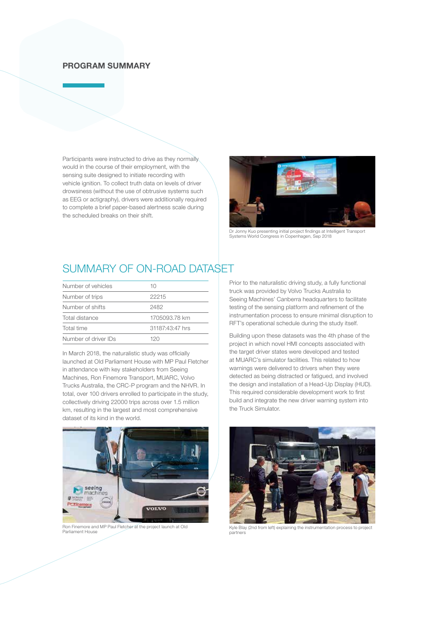### **PROGRAM SUMMARY**

Participants were instructed to drive as they normally would in the course of their employment, with the sensing suite designed to initiate recording with vehicle ignition. To collect truth data on levels of driver drowsiness (without the use of obtrusive systems such as EEG or actigraphy), drivers were additionally required to complete a brief paper-based alertness scale during the scheduled breaks on their shift.



Dr Jonny Kuo presenting initial project findings at Intelligent Transport Systems World Congress in Copenhagen, Sep 2018

# SUMMARY OF ON-ROAD DATASET

| Number of vehicles   | 10              |
|----------------------|-----------------|
| Number of trips      | 22215           |
| Number of shifts     | 2482            |
| Total distance       | 1705093.78 km   |
| Total time           | 31187:43:47 hrs |
| Number of driver IDs | 120             |

In March 2018, the naturalistic study was officially launched at Old Parliament House with MP Paul Fletcher in attendance with key stakeholders from Seeing Machines, Ron Finemore Transport, MUARC, Volvo Trucks Australia, the CRC-P program and the NHVR. In total, over 100 drivers enrolled to participate in the study, collectively driving 22000 trips across over 1.5 million km, resulting in the largest and most comprehensive dataset of its kind in the world.



Ron Finemore and MP Paul Fletcher at the project launch at Old Parliament House

Prior to the naturalistic driving study, a fully functional truck was provided by Volvo Trucks Australia to Seeing Machines' Canberra headquarters to facilitate testing of the sensing platform and refinement of the instrumentation process to ensure minimal disruption to RFT's operational schedule during the study itself.

Building upon these datasets was the 4th phase of the project in which novel HMI concepts associated with the target driver states were developed and tested at MUARC's simulator facilities. This related to how warnings were delivered to drivers when they were detected as being distracted or fatigued, and involved the design and installation of a Head-Up Display (HUD). This required considerable development work to first build and integrate the new driver warning system into the Truck Simulator.



Kyle Blay (2nd from left) explaining the instrumentation process to project partners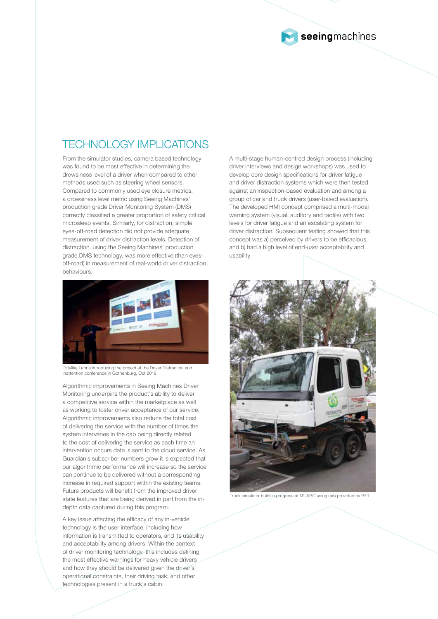

# TECHNOLOGY IMPLICATIONS

From the simulator studies, camera based technology was found to be most effective in determining the drowsiness level of a driver when compared to other methods used such as steering wheel sensors. Compared to commonly used eye closure metrics, a drowsiness level metric using Seeing Machines' production grade Driver Monitoring System (DMS) correctly classified a greater proportion of safety critical microsleep events. Similarly, for distraction, simple eyes-off-road detection did not provide adequate measurement of driver distraction levels. Detection of distraction, using the Seeing Machines' production grade DMS technology, was more effective (than eyesoff-road) in measurement of real-world driver distraction behaviours.



Dr Mike Lenné introducing the project at the Driver Distraction and Inattention conference in Gothenburg, Oct 2018

Algorithmic improvements in Seeing Machines Driver Monitoring underpins the product's ability to deliver a competitive service within the marketplace as well as working to foster driver acceptance of our service. Algorithmic improvements also reduce the total cost of delivering the service with the number of times the system intervenes in the cab being directly related to the cost of delivering the service as each time an intervention occurs data is sent to the cloud service. As Guardian's subscriber numbers grow it is expected that our algorithmic performance will increase so the service can continue to be delivered without a corresponding increase in required support within the existing teams. Future products will benefit from the improved driver state features that are being derived in part from the indepth data captured during this program.

A key issue affecting the efficacy of any in-vehicle technology is the user interface, including how information is transmitted to operators, and its usability and acceptability among drivers. Within the context of driver monitoring technology, this includes defining the most effective warnings for heavy vehicle drivers and how they should be delivered given the driver's operational constraints, their driving task, and other technologies present in a truck's cabin.

A multi-stage human-centred design process (including driver interviews and design workshops) was used to develop core design specifications for driver fatigue and driver distraction systems which were then tested against an inspection-based evaluation and among a group of car and truck drivers (user-based evaluation). The developed HMI concept comprised a multi-modal warning system (visual, auditory and tactile) with two levels for driver fatigue and an escalating system for driver distraction. Subsequent testing showed that this concept was a) perceived by drivers to be efficacious, and b) had a high level of end-user acceptability and usability.



Truck simulator build in progress at MUARC using cab provided by RFT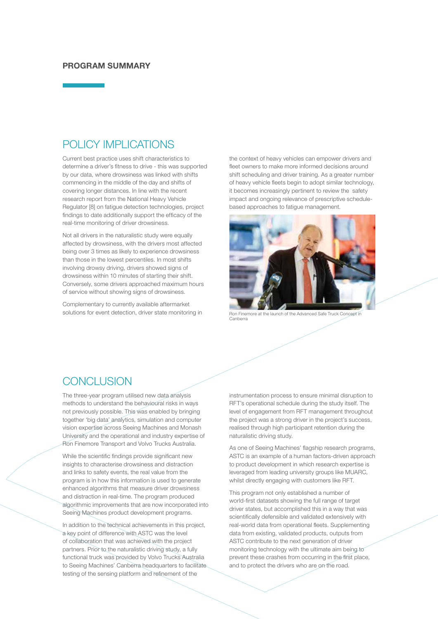#### **PROGRAM SUMMARY**

## POLICY IMPLICATIONS

Current best practice uses shift characteristics to determine a driver's fitness to drive - this was supported by our data, where drowsiness was linked with shifts commencing in the middle of the day and shifts of covering longer distances. In line with the recent research report from the National Heavy Vehicle Regulator [8] on fatigue detection technologies, project findings to date additionally support the efficacy of the real-time monitoring of driver drowsiness.

Not all drivers in the naturalistic study were equally affected by drowsiness, with the drivers most affected being over 3 times as likely to experience drowsiness than those in the lowest percentiles. In most shifts involving drowsy driving, drivers showed signs of drowsiness within 10 minutes of starting their shift. Conversely, some drivers approached maximum hours of service without showing signs of drowsiness.

Complementary to currently available aftermarket solutions for event detection, driver state monitoring in the context of heavy vehicles can empower drivers and fleet owners to make more informed decisions around shift scheduling and driver training. As a greater number of heavy vehicle fleets begin to adopt similar technology, it becomes increasingly pertinent to review the safety impact and ongoing relevance of prescriptive schedulebased approaches to fatigue management.



Ron Finemore at the launch of the Advanced Safe Truck Concept in Canberra

## CONCLUSION

The three-year program utilised new data analysis methods to understand the behavioural risks in ways not previously possible. This was enabled by bringing together 'big data' analytics, simulation and computer vision expertise across Seeing Machines and Monash University and the operational and industry expertise of Ron Finemore Transport and Volvo Trucks Australia.

While the scientific findings provide significant new insights to characterise drowsiness and distraction and links to safety events, the real value from the program is in how this information is used to generate enhanced algorithms that measure driver drowsiness and distraction in real-time. The program produced algorithmic improvements that are now incorporated into Seeing Machines product development programs.

In addition to the technical achievements in this project, a key point of difference with ASTC was the level of collaboration that was achieved with the project partners. Prior to the naturalistic driving study, a fully functional truck was provided by Volvo Trucks Australia to Seeing Machines' Canberra headquarters to facilitate testing of the sensing platform and refinement of the

instrumentation process to ensure minimal disruption to RFT's operational schedule during the study itself. The level of engagement from RFT management throughout the project was a strong driver in the project's success, realised through high participant retention during the naturalistic driving study.

As one of Seeing Machines' flagship research programs, ASTC is an example of a human factors-driven approach to product development in which research expertise is leveraged from leading university groups like MUARC, whilst directly engaging with customers like RFT.

This program not only established a number of world-first datasets showing the full range of target driver states, but accomplished this in a way that was scientifically defensible and validated extensively with real-world data from operational fleets. Supplementing data from existing, validated products, outputs from ASTC contribute to the next generation of driver monitoring technology with the ultimate aim being to prevent these crashes from occurring in the first place, and to protect the drivers who are on the road.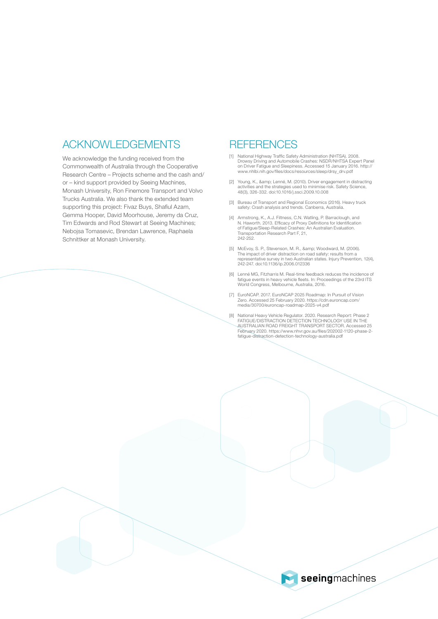## ACKNOWLEDGEMENTS

We acknowledge the funding received from the Commonwealth of Australia through the Cooperative Research Centre – Projects scheme and the cash and/ or – kind support provided by Seeing Machines, Monash University, Ron Finemore Transport and Volvo Trucks Australia. We also thank the extended team supporting this project: Fivaz Buys, Shafiul Azam, Gemma Hooper, David Moorhouse, Jeremy da Cruz, Tim Edwards and Rod Stewart at Seeing Machines; Nebojsa Tomasevic, Brendan Lawrence, Raphaela Schnittker at Monash University.

### **REFERENCES**

- [1] National Highway Traffic Safety Administration (NHTSA). 2008. Drowsy Driving and Automobile Crashes: NSDR/NHTSA Expert Panel on Driver Fatigue and Sleepiness. Accessed 15 January 2016. http:// www.nhlbi.nih.gov/files/docs/resources/sleep/drsy\_drv.pdf
- [2] Young, K., & amp; Lenné, M. (2010). Driver engagement in distracting activities and the strategies used to minimise risk. Safety Science, 48(3), 326-332. doi:10.1016/j.ssci.2009.10.008
- [3] Bureau of Transport and Regional Economics (2016). Heavy truck safety: Crash analysis and trends. Canberra, Australia.
- [4] Armstrong, K., A.J. Filtness, C.N. Watling, P. Barraclough, and<br>N. Haworth. 2013. Efficacy of Proxy Definitions for Identification<br>of Fatigue/Sleep-Related Crashes: An Australian Evaluation.<br>Transportation Research Par 242-252.
- [5] McEvoy, S. P., Stevenson, M. R., & amp; Woodward, M. (2006).<br>The impact of driver distraction on road safety: results from a representative survey in two Australian states. Injury Prevention, 12(4), 242-247. doi:10.1136/ip.2006.012336
- [6] Lenné MG, Fitzharris M. Real-time feedback reduces the incidence of fatigue events in heavy vehicle fleets. In: Proceedings of the 23rd ITS World Congress, Melbourne, Australia, 2016.
- [7] EuroNCAP. 2017. EuroNCAP 2025 Roadmap: In Pursuit of Vision Zero. Accessed 25 February 2020. https://cdn.euroncap.com/ media/30700/euroncap-roadmap-2025-v4.pdf
- [8] National Heavy Vehicle Regulator. 2020. Research Report: Phase 2 FATIGUE/DISTRACTION DETECTION TECHNOLOGY USE IN THE AUSTRALIAN ROAD FREIGHT TRANSPORT SECTOR. Accessed 25 February 2020. https://www.nhvr.gov.au/files/202002-1120-phase-2- fatigue-distraction-detection-technology-australia.pdf